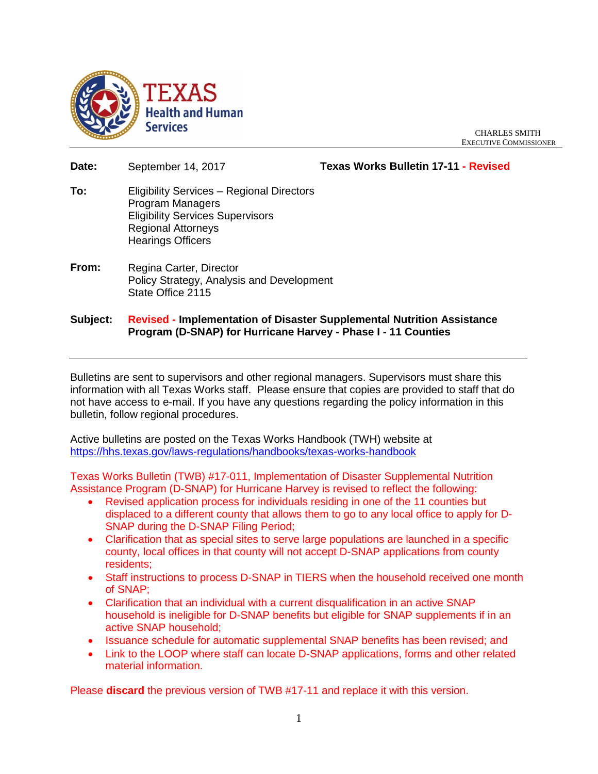

CHARLES SMITH EXECUTIVE COMMISSIONER

- **Date:** September 14, 2017 **Texas Works Bulletin 17-11 - Revised To:** Eligibility Services – Regional Directors Program Managers Eligibility Services Supervisors Regional Attorneys Hearings Officers
- **From:** Regina Carter, Director Policy Strategy, Analysis and Development State Office 2115
- **Subject: Revised - Implementation of Disaster Supplemental Nutrition Assistance Program (D-SNAP) for Hurricane Harvey - Phase I - 11 Counties**

Bulletins are sent to supervisors and other regional managers. Supervisors must share this information with all Texas Works staff. Please ensure that copies are provided to staff that do not have access to e-mail. If you have any questions regarding the policy information in this bulletin, follow regional procedures.

Active bulletins are posted on the Texas Works Handbook (TWH) website at <https://hhs.texas.gov/laws-regulations/handbooks/texas-works-handbook>

Texas Works Bulletin (TWB) #17-011, Implementation of Disaster Supplemental Nutrition Assistance Program (D-SNAP) for Hurricane Harvey is revised to reflect the following:

- Revised application process for individuals residing in one of the 11 counties but displaced to a different county that allows them to go to any local office to apply for D-SNAP during the D-SNAP Filing Period;
- Clarification that as special sites to serve large populations are launched in a specific county, local offices in that county will not accept D-SNAP applications from county residents;
- Staff instructions to process D-SNAP in TIERS when the household received one month of SNAP;
- Clarification that an individual with a current disqualification in an active SNAP household is ineligible for D-SNAP benefits but eligible for SNAP supplements if in an active SNAP household;
- Issuance schedule for automatic supplemental SNAP benefits has been revised; and
- Link to the LOOP where staff can locate D-SNAP applications, forms and other related material information.

Please **discard** the previous version of TWB #17-11 and replace it with this version.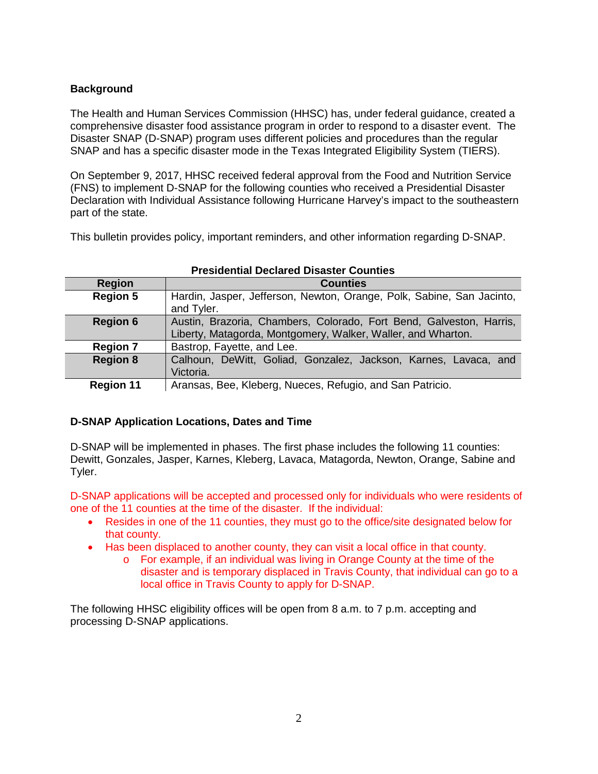# **Background**

The Health and Human Services Commission (HHSC) has, under federal guidance, created a comprehensive disaster food assistance program in order to respond to a disaster event. The Disaster SNAP (D-SNAP) program uses different policies and procedures than the regular SNAP and has a specific disaster mode in the Texas Integrated Eligibility System (TIERS).

On September 9, 2017, HHSC received federal approval from the Food and Nutrition Service (FNS) to implement D-SNAP for the following counties who received a Presidential Disaster Declaration with Individual Assistance following Hurricane Harvey's impact to the southeastern part of the state.

This bulletin provides policy, important reminders, and other information regarding D-SNAP.

|                  | TTGSIUGHUAI DGUIAIGU DISASLGI OVUHLIGS                                |  |  |  |
|------------------|-----------------------------------------------------------------------|--|--|--|
| <b>Region</b>    | <b>Counties</b>                                                       |  |  |  |
| <b>Region 5</b>  | Hardin, Jasper, Jefferson, Newton, Orange, Polk, Sabine, San Jacinto, |  |  |  |
|                  | and Tyler.                                                            |  |  |  |
| <b>Region 6</b>  | Austin, Brazoria, Chambers, Colorado, Fort Bend, Galveston, Harris,   |  |  |  |
|                  | Liberty, Matagorda, Montgomery, Walker, Waller, and Wharton.          |  |  |  |
| <b>Region 7</b>  | Bastrop, Fayette, and Lee.                                            |  |  |  |
| <b>Region 8</b>  | Calhoun, DeWitt, Goliad, Gonzalez, Jackson, Karnes, Lavaca, and       |  |  |  |
|                  | Victoria.                                                             |  |  |  |
| <b>Region 11</b> | Aransas, Bee, Kleberg, Nueces, Refugio, and San Patricio.             |  |  |  |

# **Presidential Declared Disaster Counties**

# **D-SNAP Application Locations, Dates and Time**

D-SNAP will be implemented in phases. The first phase includes the following 11 counties: Dewitt, Gonzales, Jasper, Karnes, Kleberg, Lavaca, Matagorda, Newton, Orange, Sabine and Tyler.

D-SNAP applications will be accepted and processed only for individuals who were residents of one of the 11 counties at the time of the disaster. If the individual:

- Resides in one of the 11 counties, they must go to the office/site designated below for that county.
- Has been displaced to another county, they can visit a local office in that county.
	- o For example, if an individual was living in Orange County at the time of the disaster and is temporary displaced in Travis County, that individual can go to a local office in Travis County to apply for D-SNAP.

The following HHSC eligibility offices will be open from 8 a.m. to 7 p.m. accepting and processing D-SNAP applications.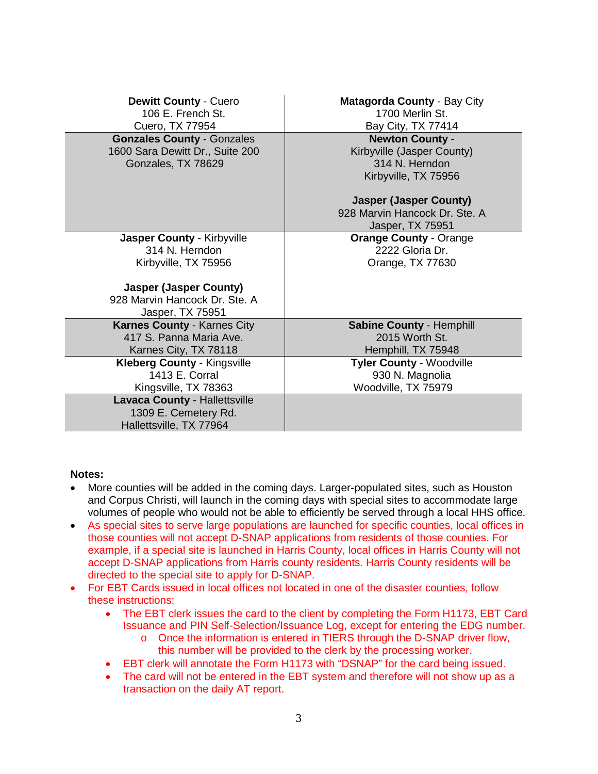| Matagorda County - Bay City<br>1700 Merlin St.<br>Bay City, TX 77414                                                                                                                 |
|--------------------------------------------------------------------------------------------------------------------------------------------------------------------------------------|
| <b>Newton County -</b><br>Kirbyville (Jasper County)<br>314 N. Herndon<br>Kirbyville, TX 75956<br><b>Jasper (Jasper County)</b><br>928 Marvin Hancock Dr. Ste. A<br>Jasper, TX 75951 |
| <b>Orange County - Orange</b><br>2222 Gloria Dr.<br>Orange, TX 77630                                                                                                                 |
| <b>Sabine County - Hemphill</b><br>2015 Worth St.<br>Hemphill, TX 75948                                                                                                              |
| <b>Tyler County - Woodville</b><br>930 N. Magnolia<br>Woodville, TX 75979                                                                                                            |
|                                                                                                                                                                                      |

# **Notes:**

- More counties will be added in the coming days. Larger-populated sites, such as Houston and Corpus Christi, will launch in the coming days with special sites to accommodate large volumes of people who would not be able to efficiently be served through a local HHS office.
- As special sites to serve large populations are launched for specific counties, local offices in those counties will not accept D-SNAP applications from residents of those counties. For example, if a special site is launched in Harris County, local offices in Harris County will not accept D-SNAP applications from Harris county residents. Harris County residents will be directed to the special site to apply for D-SNAP.
- For EBT Cards issued in local offices not located in one of the disaster counties, follow these instructions:
	- The EBT clerk issues the card to the client by completing the Form H1173, EBT Card Issuance and PIN Self-Selection/Issuance Log, except for entering the EDG number.
		- o Once the information is entered in TIERS through the D-SNAP driver flow, this number will be provided to the clerk by the processing worker.
	- EBT clerk will annotate the Form H1173 with "DSNAP" for the card being issued.
	- The card will not be entered in the EBT system and therefore will not show up as a transaction on the daily AT report.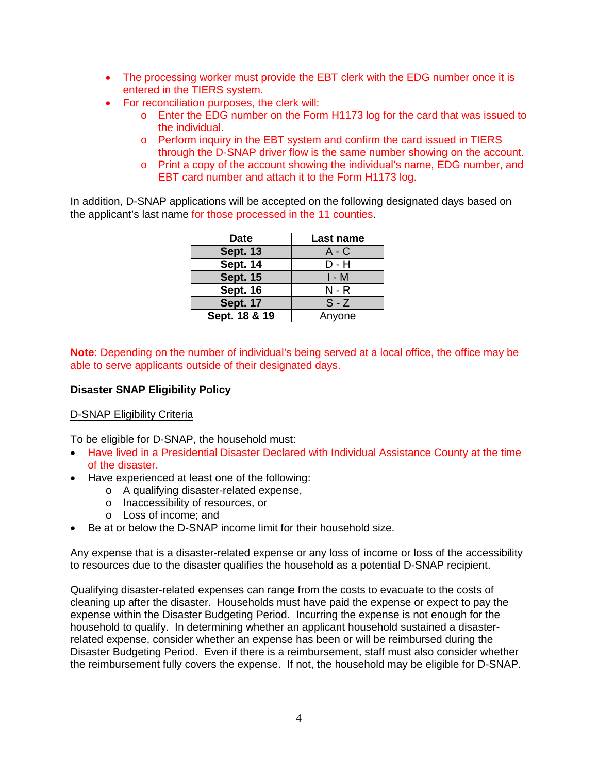- The processing worker must provide the EBT clerk with the EDG number once it is entered in the TIERS system.
- For reconciliation purposes, the clerk will:
	- o Enter the EDG number on the Form H1173 log for the card that was issued to the individual.
	- o Perform inquiry in the EBT system and confirm the card issued in TIERS through the D-SNAP driver flow is the same number showing on the account.
	- o Print a copy of the account showing the individual's name, EDG number, and EBT card number and attach it to the Form H1173 log.

In addition, D-SNAP applications will be accepted on the following designated days based on the applicant's last name for those processed in the 11 counties.

| <b>Date</b>     | Last name |  |  |
|-----------------|-----------|--|--|
| <b>Sept. 13</b> | A - C     |  |  |
| <b>Sept. 14</b> | D - H     |  |  |
| <b>Sept. 15</b> | I - M     |  |  |
| <b>Sept. 16</b> | N - R     |  |  |
| <b>Sept. 17</b> | $S - Z$   |  |  |
| Sept. 18 & 19   | Anyone    |  |  |

**Note**: Depending on the number of individual's being served at a local office, the office may be able to serve applicants outside of their designated days.

# **Disaster SNAP Eligibility Policy**

### D-SNAP Eligibility Criteria

To be eligible for D-SNAP, the household must:

- Have lived in a Presidential Disaster Declared with Individual Assistance County at the time of the disaster.
- Have experienced at least one of the following:
	- o A qualifying disaster-related expense,
	- o Inaccessibility of resources, or
	- o Loss of income; and
- Be at or below the D-SNAP income limit for their household size.

Any expense that is a disaster-related expense or any loss of income or loss of the accessibility to resources due to the disaster qualifies the household as a potential D-SNAP recipient.

Qualifying disaster-related expenses can range from the costs to evacuate to the costs of cleaning up after the disaster. Households must have paid the expense or expect to pay the expense within the Disaster Budgeting Period. Incurring the expense is not enough for the household to qualify. In determining whether an applicant household sustained a disasterrelated expense, consider whether an expense has been or will be reimbursed during the Disaster Budgeting Period. Even if there is a reimbursement, staff must also consider whether the reimbursement fully covers the expense. If not, the household may be eligible for D-SNAP.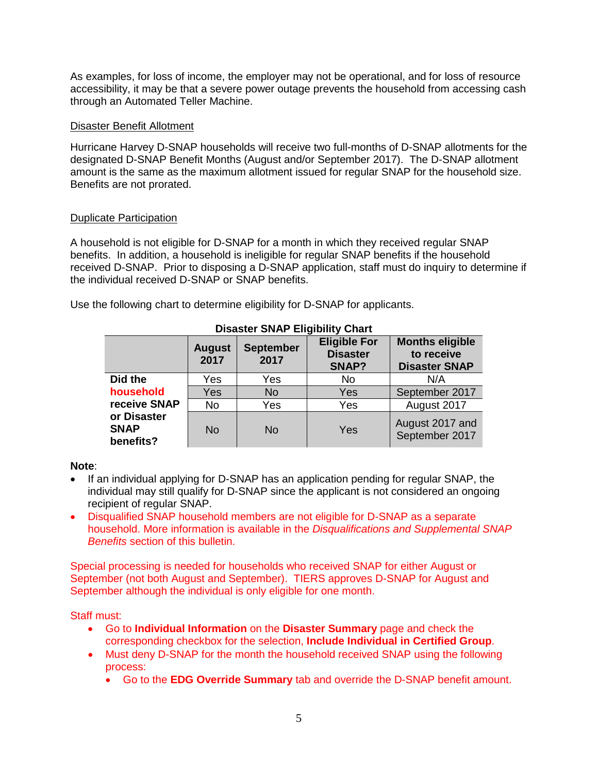As examples, for loss of income, the employer may not be operational, and for loss of resource accessibility, it may be that a severe power outage prevents the household from accessing cash through an Automated Teller Machine.

### Disaster Benefit Allotment

Hurricane Harvey D-SNAP households will receive two full-months of D-SNAP allotments for the designated D-SNAP Benefit Months (August and/or September 2017). The D-SNAP allotment amount is the same as the maximum allotment issued for regular SNAP for the household size. Benefits are not prorated.

### Duplicate Participation

A household is not eligible for D-SNAP for a month in which they received regular SNAP benefits. In addition, a household is ineligible for regular SNAP benefits if the household received D-SNAP. Prior to disposing a D-SNAP application, staff must do inquiry to determine if the individual received D-SNAP or SNAP benefits.

| <b>Disaster SNAP Eligibility Chart</b>  |                       |                          |                                                 |                                                              |  |
|-----------------------------------------|-----------------------|--------------------------|-------------------------------------------------|--------------------------------------------------------------|--|
|                                         | <b>August</b><br>2017 | <b>September</b><br>2017 | <b>Eligible For</b><br><b>Disaster</b><br>SNAP? | <b>Months eligible</b><br>to receive<br><b>Disaster SNAP</b> |  |
| Did the                                 | Yes                   | Yes                      | No                                              | N/A                                                          |  |
| household                               | Yes                   | <b>No</b>                | Yes                                             | September 2017                                               |  |
| receive SNAP                            | No                    | Yes                      | Yes                                             | August 2017                                                  |  |
| or Disaster<br><b>SNAP</b><br>benefits? | No                    | No.                      | Yes                                             | August 2017 and<br>September 2017                            |  |

Use the following chart to determine eligibility for D-SNAP for applicants.

### **Note**:

- If an individual applying for D-SNAP has an application pending for regular SNAP, the individual may still qualify for D-SNAP since the applicant is not considered an ongoing recipient of regular SNAP.
- Disqualified SNAP household members are not eligible for D-SNAP as a separate household. More information is available in the *Disqualifications and Supplemental SNAP Benefits* section of this bulletin.

Special processing is needed for households who received SNAP for either August or September (not both August and September). TIERS approves D-SNAP for August and September although the individual is only eligible for one month.

Staff must:

- Go to **Individual Information** on the **Disaster Summary** page and check the corresponding checkbox for the selection, **Include Individual in Certified Group**.
- Must deny D-SNAP for the month the household received SNAP using the following process:
	- Go to the **EDG Override Summary** tab and override the D-SNAP benefit amount.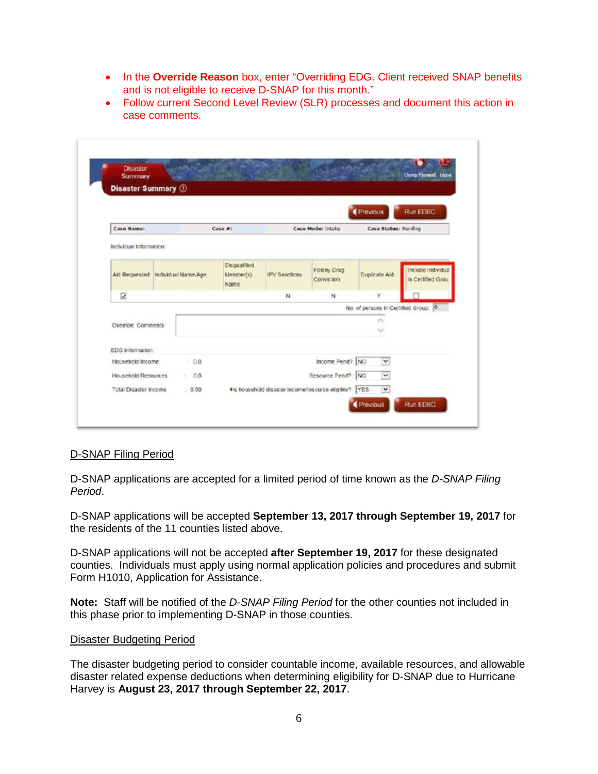- In the **Override Reason** box, enter "Overriding EDG. Client received SNAP benefits and is not eligible to receive D-SNAP for this month."
- Follow current Second Level Review (SLR) processes and document this action in case comments.

| <b>Disastor</b>                             |  |        |                     |                                                     |                     |                 | Change Password Locout               |
|---------------------------------------------|--|--------|---------------------|-----------------------------------------------------|---------------------|-----------------|--------------------------------------|
| <b>Summary</b><br><b>Disaster Summary 3</b> |  |        |                     |                                                     |                     |                 |                                      |
|                                             |  |        |                     |                                                     |                     |                 |                                      |
|                                             |  |        |                     |                                                     |                     | Previous        | Run EDBC                             |
| Case Name:                                  |  |        | Case #:             |                                                     | Case Mode: Intake   |                 | Case Status: Pending                 |
|                                             |  |        |                     |                                                     |                     |                 |                                      |
| Individual Information:                     |  |        |                     |                                                     |                     |                 |                                      |
|                                             |  |        | <b>Disqualified</b> |                                                     | <b>Felony Drug</b>  |                 | Include Individual                   |
| Aid Requested Individual Name/Age           |  |        | Member(s)<br>Name   | <b>IPV Sanctions</b>                                | Conviction          | Duplicate Aid   | in Certified Grou                    |
| $\overline{\omega}$                         |  |        |                     | N                                                   | N                   | v               |                                      |
|                                             |  |        |                     |                                                     |                     |                 | No. of persons in Certified Group: 0 |
| Override Comments                           |  |        |                     |                                                     |                     | ۸               |                                      |
|                                             |  |        |                     |                                                     |                     | v               |                                      |
| EDG Information:                            |  |        |                     |                                                     |                     |                 |                                      |
| Household Income                            |  | $-0.0$ |                     |                                                     | Income Pend? NO     | ×               |                                      |
| Household Resources                         |  | .00    |                     |                                                     | Resource Pend? : NO | $\checkmark$    |                                      |
| Total Disaster Income                       |  | 0.00   |                     | Is household disaster income/resource eligible? YES |                     | $\checkmark$    |                                      |
|                                             |  |        |                     |                                                     |                     | <b>Previous</b> | Run EDBC                             |

### D-SNAP Filing Period

D-SNAP applications are accepted for a limited period of time known as the *D-SNAP Filing Period*.

D-SNAP applications will be accepted **September 13, 2017 through September 19, 2017** for the residents of the 11 counties listed above.

D-SNAP applications will not be accepted **after September 19, 2017** for these designated counties. Individuals must apply using normal application policies and procedures and submit Form H1010, Application for Assistance.

**Note:** Staff will be notified of the *D-SNAP Filing Period* for the other counties not included in this phase prior to implementing D-SNAP in those counties.

### Disaster Budgeting Period

The disaster budgeting period to consider countable income, available resources, and allowable disaster related expense deductions when determining eligibility for D-SNAP due to Hurricane Harvey is **August 23, 2017 through September 22, 2017**.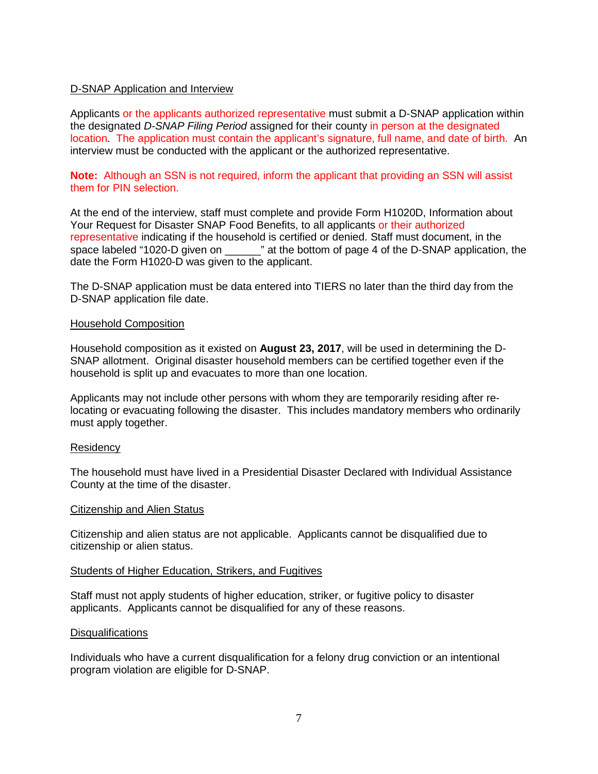### D-SNAP Application and Interview

Applicants or the applicants authorized representative must submit a D-SNAP application within the designated *D-SNAP Filing Period* assigned for their county in person at the designated location. The application must contain the applicant's signature, full name, and date of birth. An interview must be conducted with the applicant or the authorized representative.

**Note:** Although an SSN is not required, inform the applicant that providing an SSN will assist them for PIN selection.

At the end of the interview, staff must complete and provide Form H1020D, Information about Your Request for Disaster SNAP Food Benefits, to all applicants or their authorized representative indicating if the household is certified or denied. Staff must document, in the space labeled "1020-D given on \_\_\_\_\_\_" at the bottom of page 4 of the D-SNAP application, the date the Form H1020-D was given to the applicant.

The D-SNAP application must be data entered into TIERS no later than the third day from the D-SNAP application file date.

### Household Composition

Household composition as it existed on **August 23, 2017**, will be used in determining the D-SNAP allotment. Original disaster household members can be certified together even if the household is split up and evacuates to more than one location.

Applicants may not include other persons with whom they are temporarily residing after relocating or evacuating following the disaster. This includes mandatory members who ordinarily must apply together.

### **Residency**

The household must have lived in a Presidential Disaster Declared with Individual Assistance County at the time of the disaster.

#### Citizenship and Alien Status

Citizenship and alien status are not applicable. Applicants cannot be disqualified due to citizenship or alien status.

#### Students of Higher Education, Strikers, and Fugitives

Staff must not apply students of higher education, striker, or fugitive policy to disaster applicants. Applicants cannot be disqualified for any of these reasons.

### **Disqualifications**

Individuals who have a current disqualification for a felony drug conviction or an intentional program violation are eligible for D-SNAP.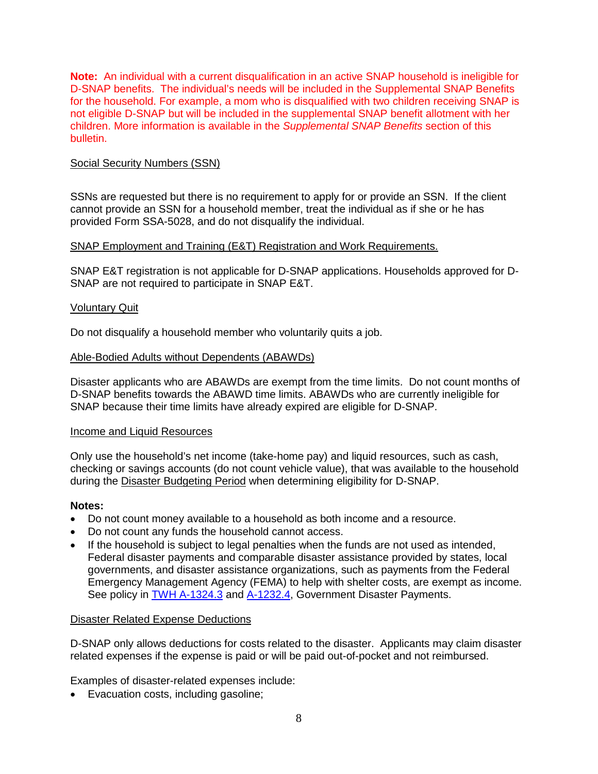**Note:** An individual with a current disqualification in an active SNAP household is ineligible for D-SNAP benefits. The individual's needs will be included in the Supplemental SNAP Benefits for the household. For example, a mom who is disqualified with two children receiving SNAP is not eligible D-SNAP but will be included in the supplemental SNAP benefit allotment with her children. More information is available in the *Supplemental SNAP Benefits* section of this bulletin.

### Social Security Numbers (SSN)

SSNs are requested but there is no requirement to apply for or provide an SSN. If the client cannot provide an SSN for a household member, treat the individual as if she or he has provided Form SSA-5028, and do not disqualify the individual.

### SNAP Employment and Training (E&T) Registration and Work Requirements.

SNAP E&T registration is not applicable for D-SNAP applications. Households approved for D-SNAP are not required to participate in SNAP E&T.

### Voluntary Quit

Do not disqualify a household member who voluntarily quits a job.

### Able-Bodied Adults without Dependents (ABAWDs)

Disaster applicants who are ABAWDs are exempt from the time limits. Do not count months of D-SNAP benefits towards the ABAWD time limits. ABAWDs who are currently ineligible for SNAP because their time limits have already expired are eligible for D-SNAP.

### Income and Liquid Resources

Only use the household's net income (take-home pay) and liquid resources, such as cash, checking or savings accounts (do not count vehicle value), that was available to the household during the Disaster Budgeting Period when determining eligibility for D-SNAP.

### **Notes:**

- Do not count money available to a household as both income and a resource.
- Do not count any funds the household cannot access.
- If the household is subject to legal penalties when the funds are not used as intended, Federal disaster payments and comparable disaster assistance provided by states, local governments, and disaster assistance organizations, such as payments from the Federal Emergency Management Agency (FEMA) to help with shelter costs, are exempt as income. See policy in [TWH A-1324.3](https://hhs.texas.gov/laws-regulations/handbooks/texas-works-handbook/part-a-determining-eligibility/section-1300-income#A1324.3) and [A-1232.4,](https://hhs.texas.gov/laws-regulations/handbooks/texas-works-handbook/part-a-determining-eligibility/section-1200-resources#A1232.4) Government Disaster Payments.

### Disaster Related Expense Deductions

D-SNAP only allows deductions for costs related to the disaster. Applicants may claim disaster related expenses if the expense is paid or will be paid out-of-pocket and not reimbursed.

Examples of disaster-related expenses include:

• Evacuation costs, including gasoline;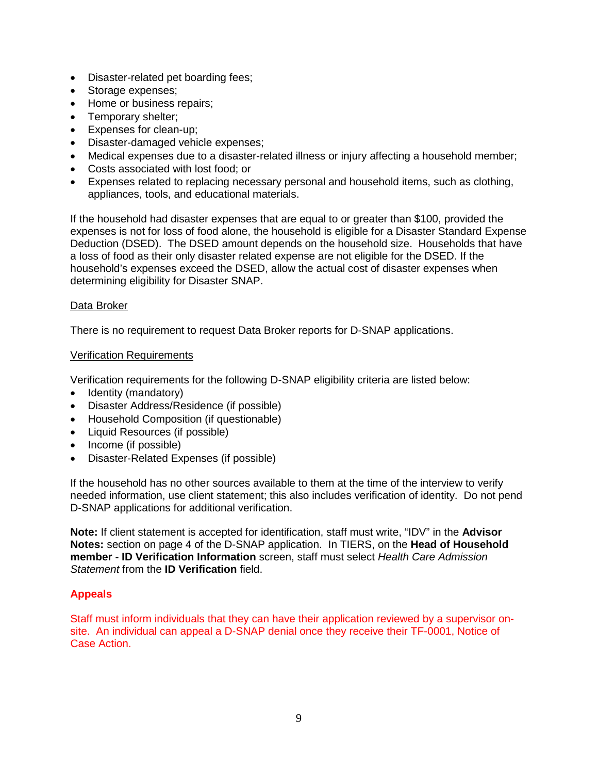- Disaster-related pet boarding fees;
- Storage expenses;
- Home or business repairs;
- Temporary shelter;
- Expenses for clean-up;
- Disaster-damaged vehicle expenses;
- Medical expenses due to a disaster-related illness or injury affecting a household member;
- Costs associated with lost food; or
- Expenses related to replacing necessary personal and household items, such as clothing, appliances, tools, and educational materials.

If the household had disaster expenses that are equal to or greater than \$100, provided the expenses is not for loss of food alone, the household is eligible for a Disaster Standard Expense Deduction (DSED). The DSED amount depends on the household size. Households that have a loss of food as their only disaster related expense are not eligible for the DSED. If the household's expenses exceed the DSED, allow the actual cost of disaster expenses when determining eligibility for Disaster SNAP.

# Data Broker

There is no requirement to request Data Broker reports for D-SNAP applications.

### Verification Requirements

Verification requirements for the following D-SNAP eligibility criteria are listed below:

- Identity (mandatory)
- Disaster Address/Residence (if possible)
- Household Composition (if questionable)
- Liquid Resources (if possible)
- Income (if possible)
- Disaster-Related Expenses (if possible)

If the household has no other sources available to them at the time of the interview to verify needed information, use client statement; this also includes verification of identity. Do not pend D-SNAP applications for additional verification.

**Note:** If client statement is accepted for identification, staff must write, "IDV" in the **Advisor Notes:** section on page 4 of the D-SNAP application. In TIERS, on the **Head of Household member - ID Verification Information** screen, staff must select *Health Care Admission Statement* from the **ID Verification** field.

# **Appeals**

Staff must inform individuals that they can have their application reviewed by a supervisor onsite. An individual can appeal a D-SNAP denial once they receive their TF-0001, Notice of Case Action.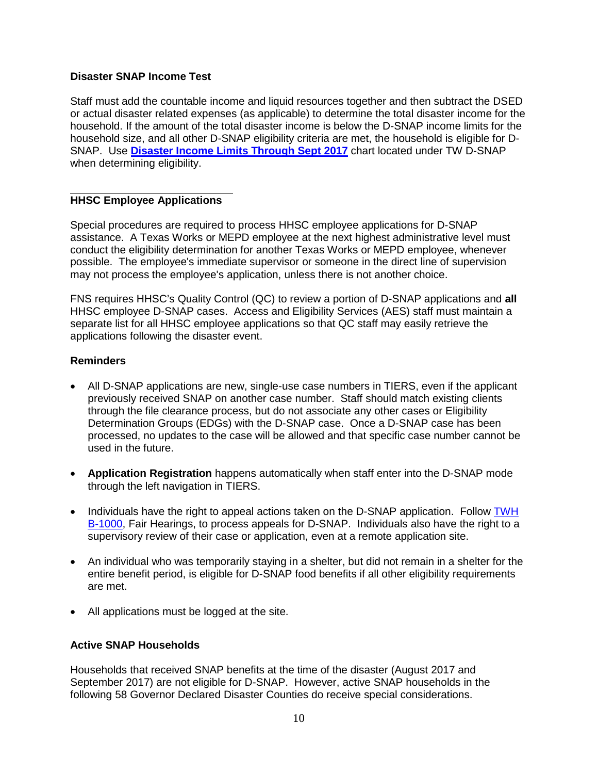# **Disaster SNAP Income Test**

Staff must add the countable income and liquid resources together and then subtract the DSED or actual disaster related expenses (as applicable) to determine the total disaster income for the household. If the amount of the total disaster income is below the D-SNAP income limits for the household size, and all other D-SNAP eligibility criteria are met, the household is eligible for D-SNAP. Use **[Disaster Income Limits Through Sept 2017](https://oss.txhhsc.txnet.state.tx.us/sites/tw/TW%20Disaster%20SNAP/Disaster%20Income%20Limits%20Through%20Sept%202017.pdf)** chart located under TW D-SNAP when determining eligibility.

# **HHSC Employee Applications**

Special procedures are required to process HHSC employee applications for D-SNAP assistance. A Texas Works or MEPD employee at the next highest administrative level must conduct the eligibility determination for another Texas Works or MEPD employee, whenever possible. The employee's immediate supervisor or someone in the direct line of supervision may not process the employee's application, unless there is not another choice.

FNS requires HHSC's Quality Control (QC) to review a portion of D-SNAP applications and **all**  HHSC employee D-SNAP cases. Access and Eligibility Services (AES) staff must maintain a separate list for all HHSC employee applications so that QC staff may easily retrieve the applications following the disaster event.

# **Reminders**

- All D-SNAP applications are new, single-use case numbers in TIERS, even if the applicant previously received SNAP on another case number. Staff should match existing clients through the file clearance process, but do not associate any other cases or Eligibility Determination Groups (EDGs) with the D-SNAP case. Once a D-SNAP case has been processed, no updates to the case will be allowed and that specific case number cannot be used in the future.
- **Application Registration** happens automatically when staff enter into the D-SNAP mode through the left navigation in TIERS.
- Individuals have the right to appeal actions taken on the D-SNAP application. Follow TWH [B-1000,](https://hhs.texas.gov/laws-regulations/handbooks/texas-works-handbook/part-b-case-management/section-1000-fair-hearings) Fair Hearings, to process appeals for D-SNAP. Individuals also have the right to a supervisory review of their case or application, even at a remote application site.
- An individual who was temporarily staying in a shelter, but did not remain in a shelter for the entire benefit period, is eligible for D-SNAP food benefits if all other eligibility requirements are met.
- All applications must be logged at the site.

# **Active SNAP Households**

Households that received SNAP benefits at the time of the disaster (August 2017 and September 2017) are not eligible for D-SNAP. However, active SNAP households in the following 58 Governor Declared Disaster Counties do receive special considerations.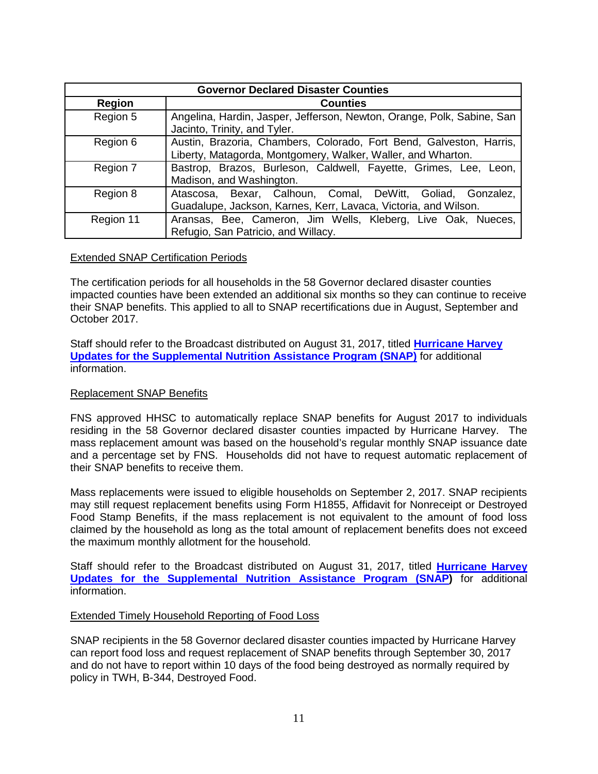| <b>Governor Declared Disaster Counties</b> |                                                                                                                                     |  |  |
|--------------------------------------------|-------------------------------------------------------------------------------------------------------------------------------------|--|--|
| <b>Region</b>                              | <b>Counties</b>                                                                                                                     |  |  |
| Region 5                                   | Angelina, Hardin, Jasper, Jefferson, Newton, Orange, Polk, Sabine, San<br>Jacinto, Trinity, and Tyler.                              |  |  |
| Region 6                                   | Austin, Brazoria, Chambers, Colorado, Fort Bend, Galveston, Harris,<br>Liberty, Matagorda, Montgomery, Walker, Waller, and Wharton. |  |  |
| Region 7                                   | Bastrop, Brazos, Burleson, Caldwell, Fayette, Grimes, Lee, Leon,<br>Madison, and Washington.                                        |  |  |
| Region 8                                   | Atascosa, Bexar, Calhoun, Comal, DeWitt, Goliad, Gonzalez,<br>Guadalupe, Jackson, Karnes, Kerr, Lavaca, Victoria, and Wilson.       |  |  |
| Region 11                                  | Aransas, Bee, Cameron, Jim Wells, Kleberg, Live Oak, Nueces,<br>Refugio, San Patricio, and Willacy.                                 |  |  |

### Extended SNAP Certification Periods

The certification periods for all households in the 58 Governor declared disaster counties impacted counties have been extended an additional six months so they can continue to receive their SNAP benefits. This applied to all to SNAP recertifications due in August, September and October 2017.

Staff should refer to the Broadcast distributed on August 31, 2017, titled **[Hurricane Harvey](https://oss.txhhsc.txnet.state.tx.us/Pages/Harvey.aspx)  [Updates for the Supplemental Nutrition Assistance Program \(SNAP\)](https://oss.txhhsc.txnet.state.tx.us/Pages/Harvey.aspx)** for additional information.

### Replacement SNAP Benefits

FNS approved HHSC to automatically replace SNAP benefits for August 2017 to individuals residing in the 58 Governor declared disaster counties impacted by Hurricane Harvey. The mass replacement amount was based on the household's regular monthly SNAP issuance date and a percentage set by FNS. Households did not have to request automatic replacement of their SNAP benefits to receive them.

Mass replacements were issued to eligible households on September 2, 2017. SNAP recipients may still request replacement benefits using Form H1855, Affidavit for Nonreceipt or Destroyed Food Stamp Benefits, if the mass replacement is not equivalent to the amount of food loss claimed by the household as long as the total amount of replacement benefits does not exceed the maximum monthly allotment for the household.

Staff should refer to the Broadcast distributed on August 31, 2017, titled **[Hurricane Harvey](https://oss.txhhsc.txnet.state.tx.us/Pages/Harvey.aspx)  [Updates for the Supplemental Nutrition Assistance Program \(SNAP\)](https://oss.txhhsc.txnet.state.tx.us/Pages/Harvey.aspx)** for additional information.

### Extended Timely Household Reporting of Food Loss

SNAP recipients in the 58 Governor declared disaster counties impacted by Hurricane Harvey can report food loss and request replacement of SNAP benefits through September 30, 2017 and do not have to report within 10 days of the food being destroyed as normally required by policy in TWH, B-344, Destroyed Food.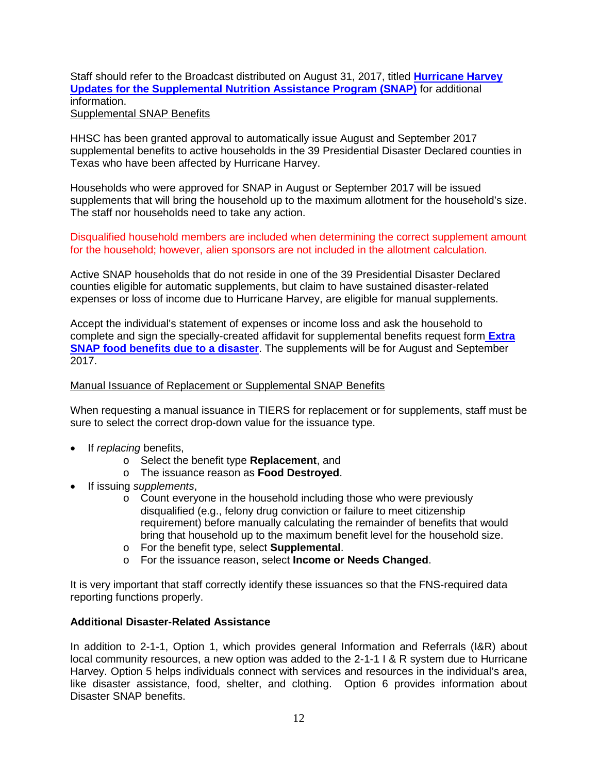### Staff should refer to the Broadcast distributed on August 31, 2017, titled **[Hurricane Harvey](https://oss.txhhsc.txnet.state.tx.us/Pages/Harvey.aspx)  [Updates for the Supplemental Nutrition Assistance Program \(SNAP\)](https://oss.txhhsc.txnet.state.tx.us/Pages/Harvey.aspx)** for additional information. Supplemental SNAP Benefits

HHSC has been granted approval to automatically issue August and September 2017 supplemental benefits to active households in the 39 Presidential Disaster Declared counties in Texas who have been affected by Hurricane Harvey.

Households who were approved for SNAP in August or September 2017 will be issued supplements that will bring the household up to the maximum allotment for the household's size. The staff nor households need to take any action.

Disqualified household members are included when determining the correct supplement amount for the household; however, alien sponsors are not included in the allotment calculation.

Active SNAP households that do not reside in one of the 39 Presidential Disaster Declared counties eligible for automatic supplements, but claim to have sustained disaster-related expenses or loss of income due to Hurricane Harvey, are eligible for manual supplements.

Accept the individual's statement of expenses or income loss and ask the household to complete and sign the specially-created affidavit for supplemental benefits request form **[Extra](https://oss.txhhsc.txnet.state.tx.us/sites/tw/SitePages/Disaster%20SNAP.aspx)  [SNAP food benefits due to a disaster](https://oss.txhhsc.txnet.state.tx.us/sites/tw/SitePages/Disaster%20SNAP.aspx)**. The supplements will be for August and September 2017.

### Manual Issuance of Replacement or Supplemental SNAP Benefits

When requesting a manual issuance in TIERS for replacement or for supplements, staff must be sure to select the correct drop-down value for the issuance type.

- If *replacing* benefits,
	- o Select the benefit type **Replacement**, and
	- o The issuance reason as **Food Destroyed**.
- If issuing *supplements*,
	- o Count everyone in the household including those who were previously disqualified (e.g., felony drug conviction or failure to meet citizenship requirement) before manually calculating the remainder of benefits that would bring that household up to the maximum benefit level for the household size.
	- o For the benefit type, select **Supplemental**.
	- o For the issuance reason, select **Income or Needs Changed**.

It is very important that staff correctly identify these issuances so that the FNS-required data reporting functions properly.

### **Additional Disaster-Related Assistance**

In addition to 2-1-1, Option 1, which provides general Information and Referrals (I&R) about local community resources, a new option was added to the 2-1-1 I & R system due to Hurricane Harvey. Option 5 helps individuals connect with services and resources in the individual's area, like disaster assistance, food, shelter, and clothing. Option 6 provides information about Disaster SNAP benefits.